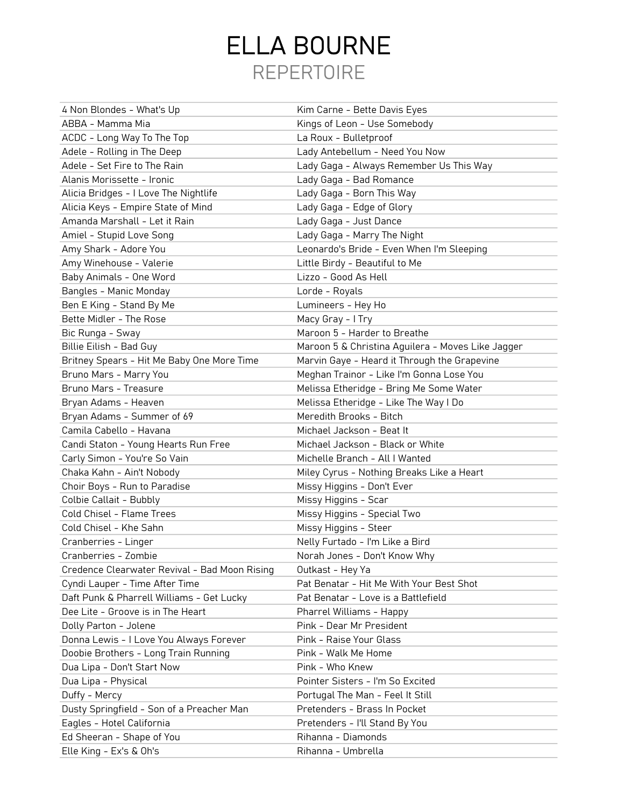## REPERTOIRE ELLA BOURNE

| 4 Non Blondes - What's Up                     | Kim Carne - Bette Davis Eyes                      |
|-----------------------------------------------|---------------------------------------------------|
| ABBA - Mamma Mia                              | Kings of Leon - Use Somebody                      |
| ACDC - Long Way To The Top                    | La Roux - Bulletproof                             |
| Adele - Rolling in The Deep                   | Lady Antebellum - Need You Now                    |
| Adele - Set Fire to The Rain                  | Lady Gaga - Always Remember Us This Way           |
| Alanis Morissette - Ironic                    | Lady Gaga - Bad Romance                           |
| Alicia Bridges - I Love The Nightlife         | Lady Gaga - Born This Way                         |
| Alicia Keys - Empire State of Mind            | Lady Gaga - Edge of Glory                         |
| Amanda Marshall - Let it Rain                 | Lady Gaga - Just Dance                            |
| Amiel - Stupid Love Song                      | Lady Gaga - Marry The Night                       |
| Amy Shark - Adore You                         | Leonardo's Bride - Even When I'm Sleeping         |
| Amy Winehouse - Valerie                       | Little Birdy - Beautiful to Me                    |
| Baby Animals - One Word                       | Lizzo - Good As Hell                              |
| Bangles - Manic Monday                        | Lorde - Royals                                    |
| Ben E King - Stand By Me                      | Lumineers - Hey Ho                                |
| Bette Midler - The Rose                       | Macy Gray - I Try                                 |
| Bic Runga - Sway                              | Maroon 5 - Harder to Breathe                      |
| Billie Eilish - Bad Guy                       | Maroon 5 & Christina Aguilera - Moves Like Jagger |
| Britney Spears - Hit Me Baby One More Time    | Marvin Gaye - Heard it Through the Grapevine      |
| Bruno Mars - Marry You                        | Meghan Trainor - Like I'm Gonna Lose You          |
| Bruno Mars - Treasure                         | Melissa Etheridge - Bring Me Some Water           |
| Bryan Adams - Heaven                          | Melissa Etheridge - Like The Way I Do             |
| Bryan Adams - Summer of 69                    | Meredith Brooks - Bitch                           |
| Camila Cabello - Havana                       | Michael Jackson - Beat It                         |
| Candi Staton - Young Hearts Run Free          | Michael Jackson - Black or White                  |
| Carly Simon - You're So Vain                  | Michelle Branch - All I Wanted                    |
| Chaka Kahn - Ain't Nobody                     | Miley Cyrus - Nothing Breaks Like a Heart         |
| Choir Boys - Run to Paradise                  | Missy Higgins - Don't Ever                        |
| Colbie Callait - Bubbly                       | Missy Higgins - Scar                              |
| Cold Chisel - Flame Trees                     | Missy Higgins - Special Two                       |
| Cold Chisel - Khe Sahn                        | Missy Higgins - Steer                             |
| Cranberries - Linger                          | Nelly Furtado - I'm Like a Bird                   |
| Cranberries - Zombie                          | Norah Jones - Don't Know Why                      |
| Credence Clearwater Revival - Bad Moon Rising | Outkast - Hey Ya                                  |
| Cyndi Lauper - Time After Time                | Pat Benatar - Hit Me With Your Best Shot          |
| Daft Punk & Pharrell Williams - Get Lucky     | Pat Benatar - Love is a Battlefield               |
| Dee Lite - Groove is in The Heart             | Pharrel Williams - Happy                          |
| Dolly Parton - Jolene                         | Pink - Dear Mr President                          |
| Donna Lewis - I Love You Always Forever       | Pink - Raise Your Glass                           |
| Doobie Brothers - Long Train Running          | Pink - Walk Me Home                               |
| Dua Lipa - Don't Start Now                    | Pink - Who Knew                                   |
| Dua Lipa - Physical                           | Pointer Sisters - I'm So Excited                  |
| Duffy - Mercy                                 | Portugal The Man - Feel It Still                  |
| Dusty Springfield - Son of a Preacher Man     | Pretenders - Brass In Pocket                      |
| Eagles - Hotel California                     | Pretenders - I'll Stand By You                    |
| Ed Sheeran - Shape of You                     | Rihanna - Diamonds                                |
| Elle King - Ex's & Oh's                       | Rihanna - Umbrella                                |